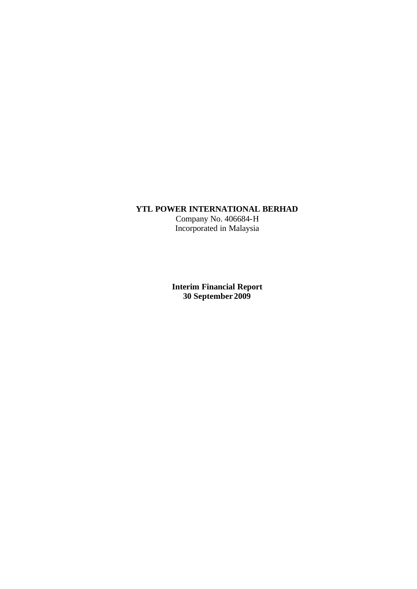## **YTL POWER INTERNATIONAL BERHAD**

Company No. 406684-H Incorporated in Malaysia

**Interim Financial Report 30 September 2009**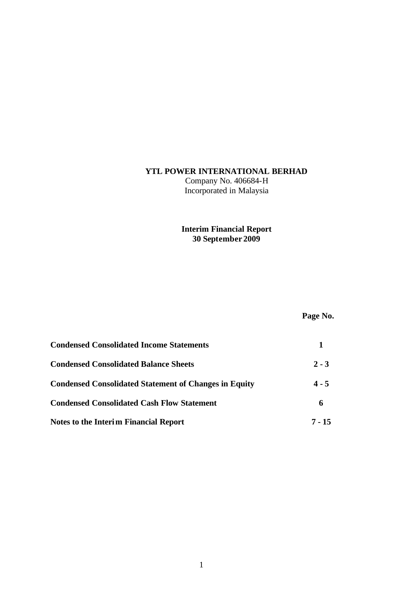## **YTL POWER INTERNATIONAL BERHAD**

Company No. 406684-H Incorporated in Malaysia

# **Interim Financial Report 30 September 2009**

# **Page No.**

| <b>Condensed Consolidated Income Statements</b>              |         |
|--------------------------------------------------------------|---------|
| <b>Condensed Consolidated Balance Sheets</b>                 | $2 - 3$ |
| <b>Condensed Consolidated Statement of Changes in Equity</b> | $4 - 5$ |
| <b>Condensed Consolidated Cash Flow Statement</b>            | 6       |
| <b>Notes to the Interim Financial Report</b>                 | 7 - 15  |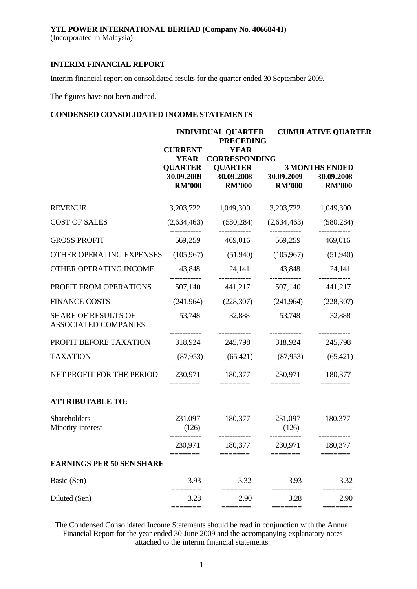(Incorporated in Malaysia)

## **INTERIM FINANCIAL REPORT**

Interim financial report on consolidated results for the quarter ended 30 September 2009.

The figures have not been audited.

## **CONDENSED CONSOLIDATED INCOME STATEMENTS**

|                                                           |                                                                  | <b>INDIVIDUAL QUARTER</b><br><b>PRECEDING</b>                                                                                                                                                                                                                                                                                                                                                                                                                                                                      |                                                                                                                                                                                                                                                                                                                                                                                                                                                                                 | <b>CUMULATIVE QUARTER</b>                                                                                                                                                                                                                                                                                                                                                                                                                                                       |
|-----------------------------------------------------------|------------------------------------------------------------------|--------------------------------------------------------------------------------------------------------------------------------------------------------------------------------------------------------------------------------------------------------------------------------------------------------------------------------------------------------------------------------------------------------------------------------------------------------------------------------------------------------------------|---------------------------------------------------------------------------------------------------------------------------------------------------------------------------------------------------------------------------------------------------------------------------------------------------------------------------------------------------------------------------------------------------------------------------------------------------------------------------------|---------------------------------------------------------------------------------------------------------------------------------------------------------------------------------------------------------------------------------------------------------------------------------------------------------------------------------------------------------------------------------------------------------------------------------------------------------------------------------|
|                                                           | <b>CURRENT</b><br><b>YEAR</b><br><b>QUARTER</b><br><b>RM'000</b> | <b>YEAR</b><br><b>CORRESPONDING</b><br><b>QUARTER</b><br>30.09.2009 30.09.2008 30.09.2009<br><b>RM'000</b>                                                                                                                                                                                                                                                                                                                                                                                                         | <b>RM'000</b>                                                                                                                                                                                                                                                                                                                                                                                                                                                                   | <b>3 MONTHS ENDED</b><br>30.09.2008<br><b>RM'000</b>                                                                                                                                                                                                                                                                                                                                                                                                                            |
| <b>REVENUE</b>                                            |                                                                  | 3,203,722 1,049,300                                                                                                                                                                                                                                                                                                                                                                                                                                                                                                | 3,203,722 1,049,300                                                                                                                                                                                                                                                                                                                                                                                                                                                             |                                                                                                                                                                                                                                                                                                                                                                                                                                                                                 |
| <b>COST OF SALES</b>                                      |                                                                  | $(2,634,463)$ $(580,284)$                                                                                                                                                                                                                                                                                                                                                                                                                                                                                          |                                                                                                                                                                                                                                                                                                                                                                                                                                                                                 | $(2,634,463)$ $(580,284)$                                                                                                                                                                                                                                                                                                                                                                                                                                                       |
| <b>GROSS PROFIT</b>                                       | 569,259                                                          | ------------<br>469,016                                                                                                                                                                                                                                                                                                                                                                                                                                                                                            | ------------<br>569,259                                                                                                                                                                                                                                                                                                                                                                                                                                                         | ------------<br>469,016                                                                                                                                                                                                                                                                                                                                                                                                                                                         |
| OTHER OPERATING EXPENSES                                  | (105,967)                                                        | (51,940)                                                                                                                                                                                                                                                                                                                                                                                                                                                                                                           | (105,967)                                                                                                                                                                                                                                                                                                                                                                                                                                                                       | (51,940)                                                                                                                                                                                                                                                                                                                                                                                                                                                                        |
| OTHER OPERATING INCOME                                    | 43,848                                                           | 24,141 43,848 24,141                                                                                                                                                                                                                                                                                                                                                                                                                                                                                               |                                                                                                                                                                                                                                                                                                                                                                                                                                                                                 |                                                                                                                                                                                                                                                                                                                                                                                                                                                                                 |
| PROFIT FROM OPERATIONS                                    | 507,140                                                          | . <u>.</u><br>441,217                                                                                                                                                                                                                                                                                                                                                                                                                                                                                              | 507,140                                                                                                                                                                                                                                                                                                                                                                                                                                                                         | 441,217                                                                                                                                                                                                                                                                                                                                                                                                                                                                         |
| <b>FINANCE COSTS</b>                                      | (241,964)                                                        | (228, 307)                                                                                                                                                                                                                                                                                                                                                                                                                                                                                                         | (241,964)                                                                                                                                                                                                                                                                                                                                                                                                                                                                       | (228, 307)                                                                                                                                                                                                                                                                                                                                                                                                                                                                      |
| <b>SHARE OF RESULTS OF</b><br><b>ASSOCIATED COMPANIES</b> | 53,748                                                           | 32,888                                                                                                                                                                                                                                                                                                                                                                                                                                                                                                             | 53,748                                                                                                                                                                                                                                                                                                                                                                                                                                                                          | 32,888                                                                                                                                                                                                                                                                                                                                                                                                                                                                          |
| PROFIT BEFORE TAXATION                                    |                                                                  | 318,924 245,798 318,924                                                                                                                                                                                                                                                                                                                                                                                                                                                                                            |                                                                                                                                                                                                                                                                                                                                                                                                                                                                                 | 245,798                                                                                                                                                                                                                                                                                                                                                                                                                                                                         |
| <b>TAXATION</b>                                           |                                                                  | $(87,953)$ $(65,421)$ $(87,953)$ $(65,421)$                                                                                                                                                                                                                                                                                                                                                                                                                                                                        |                                                                                                                                                                                                                                                                                                                                                                                                                                                                                 |                                                                                                                                                                                                                                                                                                                                                                                                                                                                                 |
| NET PROFIT FOR THE PERIOD                                 | ----------<br>=======                                            | ------------<br>230,971 180,377 230,971 180,377<br>$\begin{tabular}{ll} \multicolumn{2}{l}{{\color{blue}\textbf{1}}}\\[-2.0mm]{\color{blue}\textbf{2}}\\[-2.0mm]{\color{blue}\textbf{2}}\\[-2.0mm]{\color{blue}\textbf{3}}\\[-2.0mm]{\color{blue}\textbf{4}}\\[-2.0mm]{\color{blue}\textbf{4}}\\[-2.0mm]{\color{blue}\textbf{4}}\\[-2.0mm]{\color{blue}\textbf{4}}\\[-2.0mm]{\color{blue}\textbf{4}}\\[-2.0mm]{\color{blue}\textbf{4}}\\[-2.0mm]{\color{blue}\textbf{4}}\\[-2.0mm]{\color{blue}\textbf{4}}\\[-2.0$ | ------------<br>$\begin{tabular}{ll} \multicolumn{3}{l}{{\color{blue}\textbf{1}}}\\[-2.0mm]{\color{blue}\textbf{2}}\\[-2.0mm]{\color{blue}\textbf{2}}\\[-2.0mm]{\color{blue}\textbf{3}}\\[-2.0mm]{\color{blue}\textbf{4}}\\[-2.0mm]{\color{blue}\textbf{4}}\\[-2.0mm]{\color{blue}\textbf{4}}\\[-2.0mm]{\color{blue}\textbf{4}}\\[-2.0mm]{\color{blue}\textbf{5}}\\[-2.0mm]{\color{blue}\textbf{4}}\\[-2.0mm]{\color{blue}\textbf{5}}\\[-2.0mm]{\color{blue}\textbf{4}}\\[-2.0$ | ------------<br>$\begin{tabular}{ll} \multicolumn{3}{l}{{\color{blue}\textbf{1}}}\\[-2.5mm]{\color{blue}\textbf{2}}\\[-2.5mm]{\color{blue}\textbf{2}}\\[-2.5mm]{\color{blue}\textbf{3}}\\[-2.5mm]{\color{blue}\textbf{4}}\\[-2.5mm]{\color{blue}\textbf{4}}\\[-2.5mm]{\color{blue}\textbf{5}}\\[-2.5mm]{\color{blue}\textbf{4}}\\[-2.5mm]{\color{blue}\textbf{5}}\\[-2.5mm]{\color{blue}\textbf{5}}\\[-2.5mm]{\color{blue}\textbf{6}}\\[-2.5mm]{\color{blue}\textbf{6}}\\[-2.5$ |
| <b>ATTRIBUTABLE TO:</b>                                   |                                                                  |                                                                                                                                                                                                                                                                                                                                                                                                                                                                                                                    |                                                                                                                                                                                                                                                                                                                                                                                                                                                                                 |                                                                                                                                                                                                                                                                                                                                                                                                                                                                                 |
| Shareholders<br>Minority interest                         | (126)                                                            | 231,097 180,377 231,097 180,377                                                                                                                                                                                                                                                                                                                                                                                                                                                                                    | (126)                                                                                                                                                                                                                                                                                                                                                                                                                                                                           |                                                                                                                                                                                                                                                                                                                                                                                                                                                                                 |
|                                                           | 230,971                                                          | 180,377                                                                                                                                                                                                                                                                                                                                                                                                                                                                                                            | ------------<br>230,971                                                                                                                                                                                                                                                                                                                                                                                                                                                         | 180,377                                                                                                                                                                                                                                                                                                                                                                                                                                                                         |
| <b>EARNINGS PER 50 SEN SHARE</b>                          |                                                                  |                                                                                                                                                                                                                                                                                                                                                                                                                                                                                                                    |                                                                                                                                                                                                                                                                                                                                                                                                                                                                                 |                                                                                                                                                                                                                                                                                                                                                                                                                                                                                 |
| Basic (Sen)                                               | 3.93                                                             | 3.32                                                                                                                                                                                                                                                                                                                                                                                                                                                                                                               | 3.93                                                                                                                                                                                                                                                                                                                                                                                                                                                                            | 3.32                                                                                                                                                                                                                                                                                                                                                                                                                                                                            |
| Diluted (Sen)                                             | 3.28                                                             | 2.90<br>$====$                                                                                                                                                                                                                                                                                                                                                                                                                                                                                                     | 3.28                                                                                                                                                                                                                                                                                                                                                                                                                                                                            | 2.90                                                                                                                                                                                                                                                                                                                                                                                                                                                                            |

The Condensed Consolidated Income Statements should be read in conjunction with the Annual Financial Report for the year ended 30 June 2009 and the accompanying explanatory notes attached to the interim financial statements.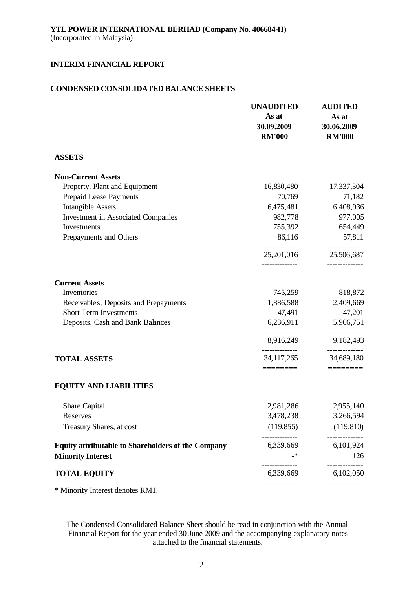## **CONDENSED CONSOLIDATED BALANCE SHEETS**

|                                                           | <b>UNAUDITED</b><br>As at<br>30.09.2009<br><b>RM'000</b> | <b>AUDITED</b><br>As at<br>30.06.2009<br><b>RM'000</b> |
|-----------------------------------------------------------|----------------------------------------------------------|--------------------------------------------------------|
| <b>ASSETS</b>                                             |                                                          |                                                        |
| <b>Non-Current Assets</b>                                 |                                                          |                                                        |
| Property, Plant and Equipment                             | 16,830,480                                               | 17,337,304                                             |
| Prepaid Lease Payments                                    | 70,769                                                   | 71,182                                                 |
| <b>Intangible Assets</b>                                  | 6,475,481                                                | 6,408,936                                              |
| <b>Investment in Associated Companies</b>                 | 982,778                                                  | 977,005                                                |
| Investments                                               | 755,392                                                  | 654,449                                                |
| Prepayments and Others                                    | 86,116<br>--------------                                 | 57,811<br>--------------                               |
|                                                           | 25, 201, 016                                             | 25,506,687                                             |
| <b>Current Assets</b>                                     |                                                          |                                                        |
| Inventories                                               | 745,259                                                  | 818,872                                                |
| Receivable s, Deposits and Prepayments                    | 1,886,588                                                | 2,409,669                                              |
| <b>Short Term Investments</b>                             | 47,491                                                   | 47,201                                                 |
| Deposits, Cash and Bank Balances                          | 6,236,911                                                | 5,906,751                                              |
|                                                           | 8,916,249                                                | 9,182,493                                              |
| <b>TOTAL ASSETS</b>                                       | 34, 117, 265<br>========                                 | 34,689,180<br>$=$ $=$ $=$ $=$ $=$ $=$ $=$              |
| <b>EQUITY AND LIABILITIES</b>                             |                                                          |                                                        |
| Share Capital                                             | 2,981,286                                                | 2,955,140                                              |
| Reserves                                                  | 3,478,238                                                | 3,266,594                                              |
| Treasury Shares, at cost                                  | (119, 855)                                               | (119, 810)                                             |
| <b>Equity attributable to Shareholders of the Company</b> | 6,339,669                                                | 6,101,924                                              |
| <b>Minority Interest</b>                                  |                                                          | 126                                                    |
| <b>TOTAL EQUITY</b>                                       | 6,339,669                                                | 6,102,050                                              |
| * Minority Interest denotes RM1.                          |                                                          |                                                        |

The Condensed Consolidated Balance Sheet should be read in conjunction with the Annual Financial Report for the year ended 30 June 2009 and the accompanying explanatory notes attached to the financial statements.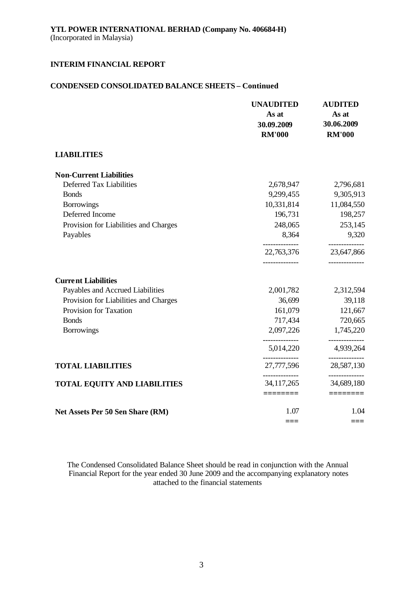## **CONDENSED CONSOLIDATED BALANCE SHEETS – Continued**

|                                       | <b>UNAUDITED</b><br>As at<br>30.09.2009<br><b>RM'000</b> | <b>AUDITED</b><br>As at<br>30.06.2009<br><b>RM'000</b> |
|---------------------------------------|----------------------------------------------------------|--------------------------------------------------------|
| <b>LIABILITIES</b>                    |                                                          |                                                        |
| <b>Non-Current Liabilities</b>        |                                                          |                                                        |
| Deferred Tax Liabilities              | 2,678,947                                                | 2,796,681                                              |
| <b>Bonds</b>                          | 9,299,455                                                | 9,305,913                                              |
| <b>Borrowings</b>                     | 10,331,814                                               | 11,084,550                                             |
| Deferred Income                       | 196,731                                                  | 198,257                                                |
| Provision for Liabilities and Charges | 248,065                                                  | 253,145                                                |
| Payables                              | 8,364                                                    | 9,320                                                  |
|                                       | 22,763,376<br>-------------                              | 23,647,866<br>.                                        |
| <b>Current Liabilities</b>            |                                                          |                                                        |
| Payables and Accrued Liabilities      | 2,001,782                                                | 2,312,594                                              |
| Provision for Liabilities and Charges | 36,699                                                   | 39,118                                                 |
| Provision for Taxation                | 161,079                                                  | 121,667                                                |
| <b>Bonds</b>                          | 717,434                                                  | 720,665                                                |
| <b>Borrowings</b>                     | 2,097,226                                                | 1,745,220                                              |
|                                       | 5,014,220                                                | 4,939,264                                              |
| <b>TOTAL LIABILITIES</b>              | 27,777,596                                               | 28,587,130                                             |
| <b>TOTAL EQUITY AND LIABILITIES</b>   | 34, 117, 265                                             | ---------<br>34,689,180                                |
|                                       | ========                                                 |                                                        |
| Net Assets Per 50 Sen Share (RM)      | 1.07                                                     | 1.04                                                   |
|                                       |                                                          | ===                                                    |

The Condensed Consolidated Balance Sheet should be read in conjunction with the Annual Financial Report for the year ended 30 June 2009 and the accompanying explanatory notes attached to the financial statements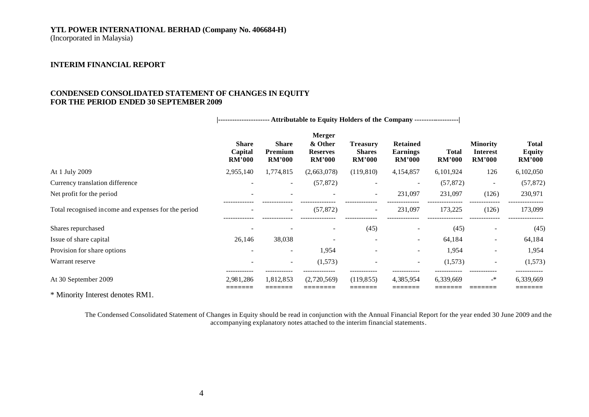# **YTL POWER INTERNATIONAL BERHAD (Company No. 406684-H)**

(Incorporated in Malaysia)

## **INTERIM FINANCIAL REPORT**

## **CONDENSED CONSOLIDATED STATEMENT OF CHANGES IN EQUITY FOR THE PERIOD ENDED 30 SEPTEMBER 2009**

|                                                     | ---------------------- Attributable to Equity Holders of the Company ------------------ |                                          |                                                              |                                                   |                                                     |                               |                                                     |                                                |
|-----------------------------------------------------|-----------------------------------------------------------------------------------------|------------------------------------------|--------------------------------------------------------------|---------------------------------------------------|-----------------------------------------------------|-------------------------------|-----------------------------------------------------|------------------------------------------------|
|                                                     | <b>Share</b><br>Capital<br><b>RM'000</b>                                                | <b>Share</b><br>Premium<br><b>RM'000</b> | <b>Merger</b><br>& Other<br><b>Reserves</b><br><b>RM'000</b> | <b>Treasury</b><br><b>Shares</b><br><b>RM'000</b> | <b>Retained</b><br><b>Earnings</b><br><b>RM'000</b> | <b>Total</b><br><b>RM'000</b> | <b>Minority</b><br><b>Interest</b><br><b>RM'000</b> | <b>Total</b><br><b>Equity</b><br><b>RM'000</b> |
| At 1 July 2009                                      | 2,955,140                                                                               | 1,774,815                                | (2,663,078)                                                  | (119, 810)                                        | 4,154,857                                           | 6,101,924                     | 126                                                 | 6,102,050                                      |
| Currency translation difference                     | $\overline{\phantom{a}}$                                                                | $\overline{\phantom{a}}$                 | (57, 872)                                                    |                                                   |                                                     | (57, 872)                     | $\overline{\phantom{a}}$                            | (57, 872)                                      |
| Net profit for the period                           |                                                                                         |                                          |                                                              | $\overline{\phantom{a}}$                          | 231,097                                             | 231,097                       | (126)                                               | 230,971                                        |
| Total recognised income and expenses for the period | $\overline{\phantom{a}}$                                                                | $\sim$                                   | (57, 872)                                                    | $\overline{\phantom{a}}$                          | 231,097                                             | 173,225                       | (126)                                               | 173,099                                        |
| Shares repurchased                                  |                                                                                         |                                          |                                                              | (45)                                              |                                                     | (45)                          |                                                     | (45)                                           |
| Issue of share capital                              | 26,146                                                                                  | 38,038                                   |                                                              |                                                   | $\overline{\phantom{a}}$                            | 64,184                        | ۰                                                   | 64,184                                         |
| Provision for share options                         |                                                                                         | $\overline{\phantom{a}}$                 | 1,954                                                        |                                                   | $\overline{\phantom{a}}$                            | 1,954                         | ۰                                                   | 1,954                                          |
| Warrant reserve                                     |                                                                                         | $\overline{\phantom{a}}$                 | (1,573)                                                      |                                                   | $\overline{\phantom{0}}$                            | (1,573)                       |                                                     | (1,573)                                        |
| At 30 September 2009                                | <br>2,981,286                                                                           | 1,812,853                                | (2,720,569)                                                  | (119, 855)                                        | 4,385,954                                           | 6,339,669                     | $\rightarrow$                                       | 6,339,669                                      |
| $- - - -$                                           |                                                                                         |                                          |                                                              |                                                   |                                                     |                               |                                                     |                                                |

\* Minority Interest denotes RM1.

The Condensed Consolidated Statement of Changes in Equity should be read in conjunction with the Annual Financial Report for the year ended 30 June 2009 and the accompanying explanatory notes attached to the interim financial statements.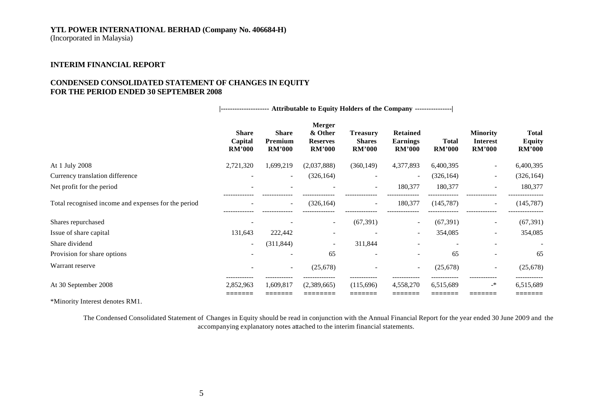## **YTL POWER INTERNATIONAL BERHAD (Company No. 406684-H)**

(Incorporated in Malaysia)

## **INTERIM FINANCIAL REPORT**

## **CONDENSED CONSOLIDATED STATEMENT OF CHANGES IN EQUITY FOR THE PERIOD ENDED 30 SEPTEMBER 2008**

|                                                     | --------------------- Attributable to Equity Holders of the Company --------------- |                                          |                                                       |                                                   |                                                     |                          |                                                     |                                                |
|-----------------------------------------------------|-------------------------------------------------------------------------------------|------------------------------------------|-------------------------------------------------------|---------------------------------------------------|-----------------------------------------------------|--------------------------|-----------------------------------------------------|------------------------------------------------|
|                                                     | <b>Share</b><br>Capital<br><b>RM'000</b>                                            | <b>Share</b><br>Premium<br><b>RM'000</b> | Merger<br>& Other<br><b>Reserves</b><br><b>RM'000</b> | <b>Treasury</b><br><b>Shares</b><br><b>RM'000</b> | <b>Retained</b><br><b>Earnings</b><br><b>RM'000</b> | Total<br><b>RM'000</b>   | <b>Minority</b><br><b>Interest</b><br><b>RM'000</b> | <b>Total</b><br><b>Equity</b><br><b>RM'000</b> |
| At 1 July 2008                                      | 2,721,320                                                                           | 1,699,219                                | (2,037,888)                                           | (360, 149)                                        | 4,377,893                                           | 6,400,395                |                                                     | 6,400,395                                      |
| Currency translation difference                     |                                                                                     | $\overline{\phantom{a}}$                 | (326, 164)                                            |                                                   | $\overline{\phantom{a}}$                            | (326, 164)               | $\overline{a}$                                      | (326, 164)                                     |
| Net profit for the period                           |                                                                                     |                                          |                                                       |                                                   | 180,377                                             | 180,377                  |                                                     | 180,377                                        |
| Total recognised income and expenses for the period |                                                                                     | $\sim$                                   | (326, 164)                                            | $\overline{\phantom{a}}$                          | 180,377                                             | (145, 787)               | $\overline{\phantom{a}}$                            | (145, 787)                                     |
| Shares repurchased                                  |                                                                                     |                                          |                                                       | (67, 391)                                         |                                                     | (67, 391)                |                                                     | (67, 391)                                      |
| Issue of share capital                              | 131,643                                                                             | 222,442                                  |                                                       |                                                   | $\overline{\phantom{a}}$                            | 354,085                  | $\overline{\phantom{a}}$                            | 354,085                                        |
| Share dividend                                      | $\overline{\phantom{a}}$                                                            | (311, 844)                               |                                                       | 311,844                                           |                                                     | $\overline{\phantom{a}}$ |                                                     |                                                |
| Provision for share options                         |                                                                                     | $\overline{\phantom{a}}$                 | 65                                                    | $\overline{\phantom{0}}$                          | $\overline{\phantom{a}}$                            | 65                       |                                                     | 65                                             |
| Warrant reserve                                     |                                                                                     | $\overline{\phantom{a}}$                 | (25, 678)                                             |                                                   | $\overline{\phantom{a}}$                            | (25, 678)                | $\overline{\phantom{a}}$                            | (25, 678)                                      |
| At 30 September 2008                                | 2,852,963<br>=======                                                                | 1,609,817<br>.______                     | (2,389,665)<br>:=======                               | (115,696)<br>=======                              | 4,558,270<br>=======                                | 6,515,689<br>=======     | $\rightarrow$                                       | 6,515,689<br>=======                           |

\*Minority Interest denotes RM1.

The Condensed Consolidated Statement of Changes in Equity should be read in conjunction with the Annual Financial Report for the year ended 30 June 2009 and the accompanying explanatory notes attached to the interim financial statements.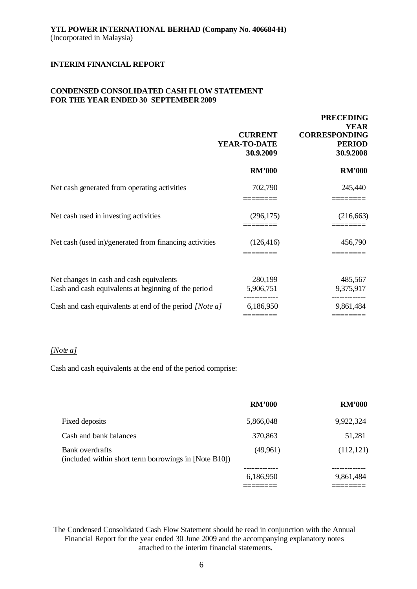## **CONDENSED CONSOLIDATED CASH FLOW STATEMENT FOR THE YEAR ENDED 30 SEPTEMBER 2009**

|                                                                                                  | <b>CURRENT</b><br>YEAR-TO-DATE<br>30.9.2009 | <b>PRECEDING</b><br><b>YEAR</b><br><b>CORRESPONDING</b><br><b>PERIOD</b><br>30.9.2008 |
|--------------------------------------------------------------------------------------------------|---------------------------------------------|---------------------------------------------------------------------------------------|
|                                                                                                  | <b>RM'000</b>                               | <b>RM'000</b>                                                                         |
| Net cash generated from operating activities                                                     | 702,790                                     | 245,440                                                                               |
| Net cash used in investing activities                                                            | (296, 175)                                  | (216, 663)                                                                            |
| Net cash (used in)/generated from financing activities                                           | (126, 416)                                  | 456,790                                                                               |
| Net changes in cash and cash equivalents<br>Cash and cash equivalents at beginning of the period | 280,199<br>5,906,751                        | 485,567<br>9,375,917                                                                  |
| Cash and cash equivalents at end of the period [Note a]                                          | 6,186,950                                   | 9,861,484                                                                             |

## *[Note a]*

Cash and cash equivalents at the end of the period comprise:

|                                                                          | <b>RM'000</b> | <b>RM'000</b> |
|--------------------------------------------------------------------------|---------------|---------------|
| Fixed deposits                                                           | 5,866,048     | 9,922,324     |
| Cash and bank balances                                                   | 370,863       | 51,281        |
| Bank overdrafts<br>(included within short term borrowings in [Note B10]) | (49,961)      | (112, 121)    |
|                                                                          |               |               |
|                                                                          | 6,186,950     | 9,861,484     |

The Condensed Consolidated Cash Flow Statement should be read in conjunction with the Annual Financial Report for the year ended 30 June 2009 and the accompanying explanatory notes attached to the interim financial statements.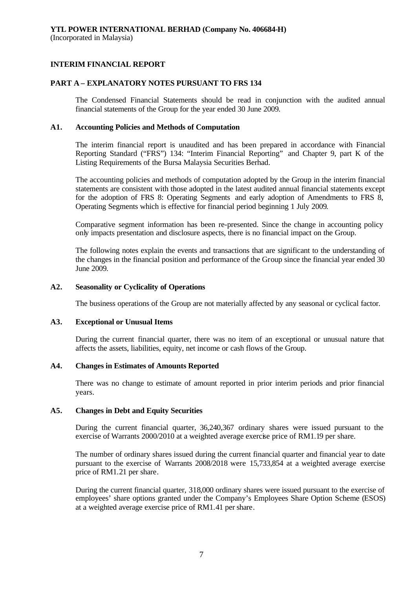#### **PART A – EXPLANATORY NOTES PURSUANT TO FRS 134**

The Condensed Financial Statements should be read in conjunction with the audited annual financial statements of the Group for the year ended 30 June 2009.

#### **A1. Accounting Policies and Methods of Computation**

The interim financial report is unaudited and has been prepared in accordance with Financial Reporting Standard ("FRS") 134: "Interim Financial Reporting" and Chapter 9, part K of the Listing Requirements of the Bursa Malaysia Securities Berhad.

The accounting policies and methods of computation adopted by the Group in the interim financial statements are consistent with those adopted in the latest audited annual financial statements except for the adoption of FRS 8: Operating Segments and early adoption of Amendments to FRS 8, Operating Segments which is effective for financial period beginning 1 July 2009.

Comparative segment information has been re-presented. Since the change in accounting policy only impacts presentation and disclosure aspects, there is no financial impact on the Group.

The following notes explain the events and transactions that are significant to the understanding of the changes in the financial position and performance of the Group since the financial year ended 30 June 2009.

#### **A2. Seasonality or Cyclicality of Operations**

The business operations of the Group are not materially affected by any seasonal or cyclical factor.

#### **A3. Exceptional or Unusual Items**

During the current financial quarter, there was no item of an exceptional or unusual nature that affects the assets, liabilities, equity, net income or cash flows of the Group.

#### **A4. Changes in Estimates of Amounts Reported**

There was no change to estimate of amount reported in prior interim periods and prior financial years.

#### **A5. Changes in Debt and Equity Securities**

During the current financial quarter, 36,240,367 ordinary shares were issued pursuant to the exercise of Warrants 2000/2010 at a weighted average exercise price of RM1.19 per share.

The number of ordinary shares issued during the current financial quarter and financial year to date pursuant to the exercise of Warrants 2008/2018 were 15,733,854 at a weighted average exercise price of RM1.21 per share.

During the current financial quarter, 318,000 ordinary shares were issued pursuant to the exercise of employees' share options granted under the Company's Employees Share Option Scheme (ESOS) at a weighted average exercise price of RM1.41 per share.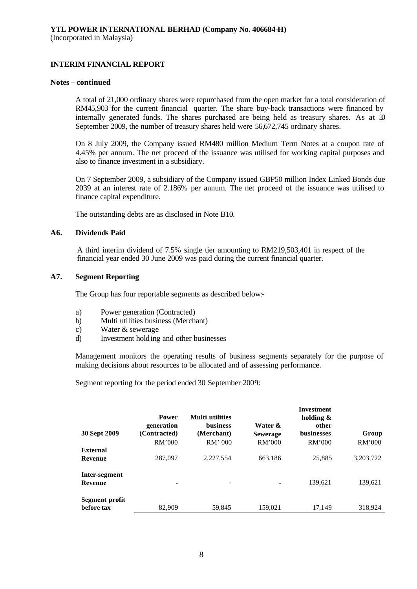#### **Notes – continued**

A total of 21,000 ordinary shares were repurchased from the open market for a total consideration of RM45,903 for the current financial quarter. The share buy-back transactions were financed by internally generated funds. The shares purchased are being held as treasury shares. As at  $\overline{3}$ September 2009, the number of treasury shares held were 56,672,745 ordinary shares.

On 8 July 2009, the Company issued RM480 million Medium Term Notes at a coupon rate of 4.45% per annum. The net proceed of the issuance was utilised for working capital purposes and also to finance investment in a subsidiary.

On 7 September 2009, a subsidiary of the Company issued GBP50 million Index Linked Bonds due 2039 at an interest rate of 2.186% per annum. The net proceed of the issuance was utilised to finance capital expenditure.

The outstanding debts are as disclosed in Note B10.

#### **A6. Dividends Paid**

A third interim dividend of 7.5% single tier amounting to RM219,503,401 in respect of the financial year ended 30 June 2009 was paid during the current financial quarter.

#### **A7. Segment Reporting**

The Group has four reportable segments as described below:-

- a) Power generation (Contracted)
- b) Multi utilities business (Merchant)
- c) Water & sewerage
- d) Investment holding and other businesses

Management monitors the operating results of business segments separately for the purpose of making decisions about resources to be allocated and of assessing performance.

Segment reporting for the period ended 30 September 2009:

| 30 Sept 2009                    | <b>Power</b><br>generation<br>(Contracted)<br>RM'000 | <b>Multi</b> utilities<br><b>business</b><br>(Merchant)<br>$RM'$ 000 | Water &<br><b>Sewerage</b><br>RM'000 | Investment<br>holding $\&$<br>other<br><b>businesses</b><br>RM'000 | Group<br>RM'000 |
|---------------------------------|------------------------------------------------------|----------------------------------------------------------------------|--------------------------------------|--------------------------------------------------------------------|-----------------|
| <b>External</b><br>Revenue      | 287,097                                              | 2,227,554                                                            | 663,186                              | 25,885                                                             | 3, 203, 722     |
| Inter-segment<br><b>Revenue</b> |                                                      |                                                                      |                                      | 139,621                                                            | 139,621         |
| Segment profit<br>before tax    | 82,909                                               | 59,845                                                               | 159,021                              | 17.149                                                             | 318,924         |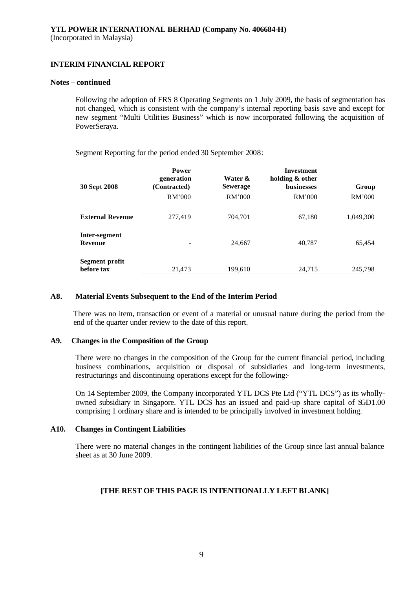#### **Notes – continued**

Following the adoption of FRS 8 Operating Segments on 1 July 2009, the basis of segmentation has not changed, which is consistent with the company's internal reporting basis save and except for new segment "Multi Utilities Business" which is now incorporated following the acquisition of PowerSeraya.

Segment Reporting for the period ended 30 September 2008:

| 30 Sept 2008                 | <b>Power</b><br>generation<br>(Contracted)<br>RM'000 | Water &<br><b>Sewerage</b><br>RM'000 | <b>Investment</b><br>holding & other<br><b>businesses</b><br>RM'000 | Group<br>RM'000 |
|------------------------------|------------------------------------------------------|--------------------------------------|---------------------------------------------------------------------|-----------------|
| <b>External Revenue</b>      | 277,419                                              | 704,701                              | 67,180                                                              | 1,049,300       |
| Inter-segment<br>Revenue     |                                                      | 24,667                               | 40,787                                                              | 65,454          |
| Segment profit<br>before tax | 21.473                                               | 199,610                              | 24.715                                                              | 245.798         |

#### **A8. Material Events Subsequent to the End of the Interim Period**

There was no item, transaction or event of a material or unusual nature during the period from the end of the quarter under review to the date of this report.

#### **A9. Changes in the Composition of the Group**

There were no changes in the composition of the Group for the current financial period, including business combinations, acquisition or disposal of subsidiaries and long-term investments, restructurings and discontinuing operations except for the following:-

On 14 September 2009, the Company incorporated YTL DCS Pte Ltd ("YTL DCS") as its whollyowned subsidiary in Singapore. YTL DCS has an issued and paid-up share capital of SGD1.00 comprising 1 ordinary share and is intended to be principally involved in investment holding.

#### **A10. Changes in Contingent Liabilities**

There were no material changes in the contingent liabilities of the Group since last annual balance sheet as at 30 June 2009.

## **[THE REST OF THIS PAGE IS INTENTIONALLY LEFT BLANK]**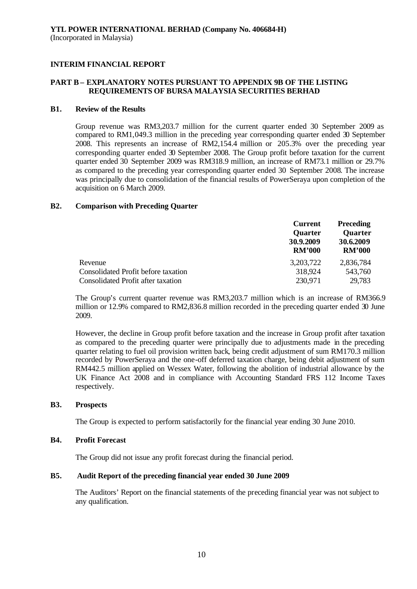## **PART B – EXPLANATORY NOTES PURSUANT TO APPENDIX 9B OF THE LISTING REQUIREMENTS OF BURSA MALAYSIA SECURITIES BERHAD**

#### **B1. Review of the Results**

Group revenue was RM3,203.7 million for the current quarter ended 30 September 2009 as compared to RM1,049.3 million in the preceding year corresponding quarter ended 30 September 2008. This represents an increase of RM2,154.4 million or 205.3% over the preceding year corresponding quarter ended 30 September 2008. The Group profit before taxation for the current quarter ended 30 September 2009 was RM318.9 million, an increase of RM73.1 million or 29.7% as compared to the preceding year corresponding quarter ended 30 September 2008. The increase was principally due to consolidation of the financial results of PowerSeraya upon completion of the acquisition on 6 March 2009.

#### **B2. Comparison with Preceding Quarter**

|                                           | <b>Current</b><br><b>Quarter</b><br>30.9.2009<br><b>RM'000</b> | <b>Preceding</b><br><b>Quarter</b><br>30.6.2009<br><b>RM'000</b> |
|-------------------------------------------|----------------------------------------------------------------|------------------------------------------------------------------|
| Revenue                                   | 3, 203, 722                                                    | 2,836,784                                                        |
| Consolidated Profit before taxation       | 318,924                                                        | 543,760                                                          |
| <b>Consolidated Profit after taxation</b> | 230,971                                                        | 29,783                                                           |

The Group's current quarter revenue was RM3,203.7 million which is an increase of RM366.9 million or 12.9% compared to RM2,836.8 million recorded in the preceding quarter ended 30 June 2009.

However, the decline in Group profit before taxation and the increase in Group profit after taxation as compared to the preceding quarter were principally due to adjustments made in the preceding quarter relating to fuel oil provision written back, being credit adjustment of sum RM170.3 million recorded by PowerSeraya and the one-off deferred taxation charge, being debit adjustment of sum RM442.5 million applied on Wessex Water, following the abolition of industrial allowance by the UK Finance Act 2008 and in compliance with Accounting Standard FRS 112 Income Taxes respectively.

#### **B3. Prospects**

The Group is expected to perform satisfactorily for the financial year ending 30 June 2010.

#### **B4. Profit Forecast**

The Group did not issue any profit forecast during the financial period.

#### **B5. Audit Report of the preceding financial year ended 30 June 2009**

The Auditors' Report on the financial statements of the preceding financial year was not subject to any qualification.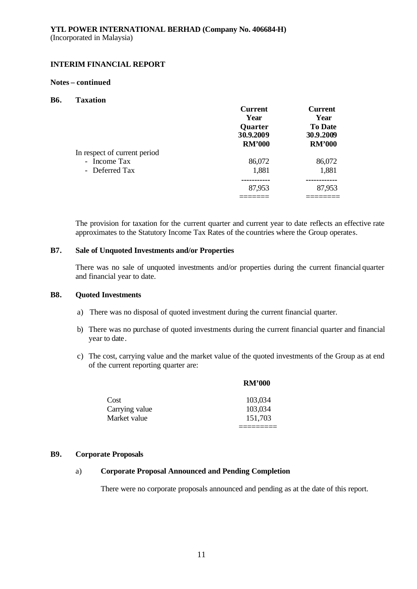#### **Notes – continued**

#### **B6. Taxation**

|                              | <b>Current</b> | <b>Current</b> |
|------------------------------|----------------|----------------|
|                              | Year           | Year           |
|                              | Quarter        | <b>To Date</b> |
|                              | 30.9.2009      | 30.9.2009      |
|                              | <b>RM'000</b>  | <b>RM'000</b>  |
| In respect of current period |                |                |
| - Income Tax                 | 86,072         | 86,072         |
| - Deferred Tax               | 1,881          | 1,881          |
|                              |                |                |
|                              | 87,953         | 87,953         |
|                              |                |                |

The provision for taxation for the current quarter and current year to date reflects an effective rate approximates to the Statutory Income Tax Rates of the countries where the Group operates.

## **B7. Sale of Unquoted Investments and/or Properties**

There was no sale of unquoted investments and/or properties during the current financial quarter and financial year to date.

## **B8. Quoted Investments**

- a) There was no disposal of quoted investment during the current financial quarter.
- b) There was no purchase of quoted investments during the current financial quarter and financial year to date.
- c) The cost, carrying value and the market value of the quoted investments of the Group as at end of the current reporting quarter are:

**RM'000**

|                | <b>RM'000</b> |
|----------------|---------------|
| Cost           | 103,034       |
| Carrying value | 103,034       |
| Market value   | 151,703       |

#### **B9. Corporate Proposals**

## a) **Corporate Proposal Announced and Pending Completion**

There were no corporate proposals announced and pending as at the date of this report.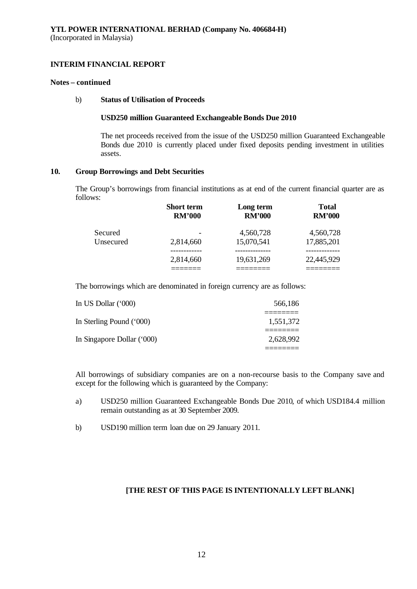#### **Notes – continued**

## b) **Status of Utilisation of Proceeds**

#### **USD250 million Guaranteed Exchangeable Bonds Due 2010**

The net proceeds received from the issue of the USD250 million Guaranteed Exchangeable Bonds due 2010 is currently placed under fixed deposits pending investment in utilities assets.

#### **10. Group Borrowings and Debt Securities**

The Group's borrowings from financial institutions as at end of the current financial quarter are as follows:

|           | <b>Short term</b> | Long term     | <b>Total</b>  |
|-----------|-------------------|---------------|---------------|
|           | <b>RM'000</b>     | <b>RM'000</b> | <b>RM'000</b> |
| Secured   | 2,814,660         | 4,560,728     | 4,560,728     |
| Unsecured |                   | 15,070,541    | 17,885,201    |
|           | 2,814,660         | 19,631,269    | 22,445,929    |

The borrowings which are denominated in foreign currency are as follows:

| 1,551,372 |
|-----------|
| 2,628,992 |
|           |

All borrowings of subsidiary companies are on a non-recourse basis to the Company save and except for the following which is guaranteed by the Company:

- a) USD250 million Guaranteed Exchangeable Bonds Due 2010, of which USD184.4 million remain outstanding as at 30 September 2009.
- b) USD190 million term loan due on 29 January 2011.

## **[THE REST OF THIS PAGE IS INTENTIONALLY LEFT BLANK]**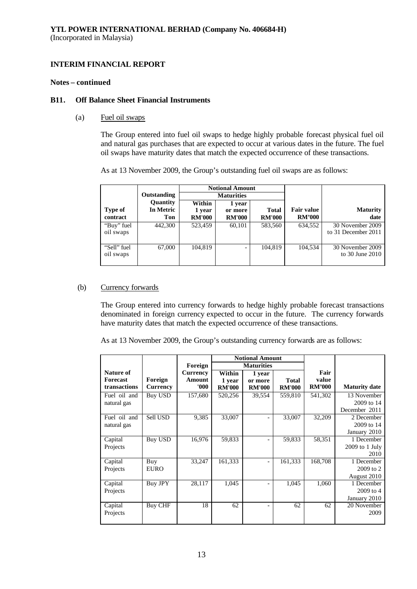#### **Notes – continued**

#### **B11. Off Balance Sheet Financial Instruments**

(a) Fuel oil swaps

The Group entered into fuel oil swaps to hedge highly probable forecast physical fuel oil and natural gas purchases that are expected to occur at various dates in the future. The fuel oil swaps have maturity dates that match the expected occurrence of these transactions.

As at 13 November 2009, the Group's outstanding fuel oil swaps are as follows:

|                          |                              | <b>Notional Amount</b>            |                                    |                               |                                    |                                         |
|--------------------------|------------------------------|-----------------------------------|------------------------------------|-------------------------------|------------------------------------|-----------------------------------------|
|                          | Outstanding                  |                                   | <b>Maturities</b>                  |                               |                                    |                                         |
| Type of<br>contract      | Quantity<br>In Metric<br>Ton | Within<br>1 year<br><b>RM'000</b> | 1 year<br>or more<br><b>RM'000</b> | <b>Total</b><br><b>RM'000</b> | <b>Fair value</b><br><b>RM'000</b> | <b>Maturity</b><br>date                 |
| "Buy" fuel<br>oil swaps  | 442,300                      | 523.459                           | 60,101                             | 583,560                       | 634.552                            | 30 November 2009<br>to 31 December 2011 |
| "Sell" fuel<br>oil swaps | 67,000                       | 104.819                           | -                                  | 104,819                       | 104.534                            | 30 November 2009<br>to $30$ June $2010$ |

## (b) Currency forwards

The Group entered into currency forwards to hedge highly probable forecast transactions denominated in foreign currency expected to occur in the future. The currency forwards have maturity dates that match the expected occurrence of these transactions.

As at 13 November 2009, the Group's outstanding currency forwards are as follows:

|                  |                 |                 | <b>Notional Amount</b> |                          |               |               |                      |
|------------------|-----------------|-----------------|------------------------|--------------------------|---------------|---------------|----------------------|
|                  |                 | Foreign         | <b>Maturities</b>      |                          |               |               |                      |
| <b>Nature of</b> |                 | <b>Currency</b> | Within                 | 1 year                   |               | Fair          |                      |
| <b>Forecast</b>  | Foreign         | Amount          | 1 year                 | or more                  | Total         | value         |                      |
| transactions     | <b>Currency</b> | 000'            | <b>RM'000</b>          | <b>RM'000</b>            | <b>RM'000</b> | <b>RM'000</b> | <b>Maturity date</b> |
| Fuel oil and     | <b>Buy USD</b>  | 157,680         | 520,256                | 39,554                   | 559,810       | 541,302       | 13 November          |
| natural gas      |                 |                 |                        |                          |               |               | 2009 to 14           |
|                  |                 |                 |                        |                          |               |               | December 2011        |
| Fuel oil and     | <b>Sell USD</b> | 9,385           | 33,007                 | $\overline{\phantom{a}}$ | 33,007        | 32,209        | 2 December           |
| natural gas      |                 |                 |                        |                          |               |               | 2009 to 14           |
|                  |                 |                 |                        |                          |               |               | January 2010         |
| Capital          | <b>Buy USD</b>  | 16,976          | 59,833                 | $\overline{\phantom{a}}$ | 59,833        | 58,351        | 1 December           |
| Projects         |                 |                 |                        |                          |               |               | $2009$ to 1 July     |
|                  |                 |                 |                        |                          |               |               | 2010                 |
| Capital          | Buy             | 33,247          | 161,333                | $\overline{\phantom{0}}$ | 161,333       | 168,708       | 1 December           |
| Projects         | <b>EURO</b>     |                 |                        |                          |               |               | 2009 to 2            |
|                  |                 |                 |                        |                          |               |               | August 2010          |
| Capital          | Buy JPY         | 28,117          | 1,045                  | $\overline{\phantom{a}}$ | 1,045         | 1,060         | 1 December           |
| Projects         |                 |                 |                        |                          |               |               | 2009 to 4            |
|                  |                 |                 |                        |                          |               |               | January 2010         |
| Capital          | <b>Buy CHF</b>  | 18              | 62                     | $\overline{\phantom{a}}$ | 62            | 62            | 20 November          |
| Projects         |                 |                 |                        |                          |               |               | 2009                 |
|                  |                 |                 |                        |                          |               |               |                      |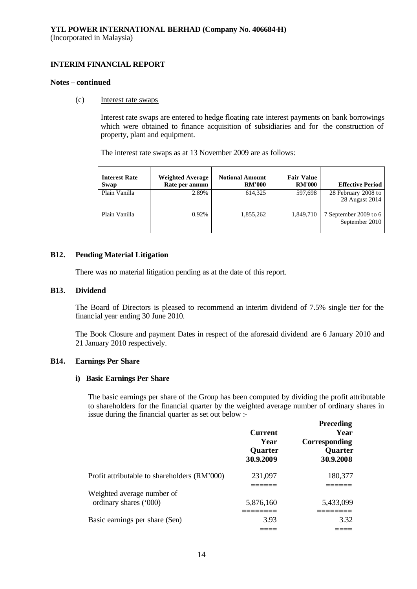#### **Notes – continued**

#### (c) Interest rate swaps

Interest rate swaps are entered to hedge floating rate interest payments on bank borrowings which were obtained to finance acquisition of subsidiaries and for the construction of property, plant and equipment.

The interest rate swaps as at 13 November 2009 are as follows:

| <b>Interest Rate</b><br>Swap | <b>Weighted Average</b><br>Rate per annum | <b>Notional Amount</b><br><b>RM'000</b> | <b>Fair Value</b><br><b>RM'000</b> | <b>Effective Period</b>                 |
|------------------------------|-------------------------------------------|-----------------------------------------|------------------------------------|-----------------------------------------|
| Plain Vanilla                | 2.89%                                     | 614.325                                 | 597,698                            | 28 February 2008 to<br>28 August 2014   |
| Plain Vanilla                | 0.92%                                     | 1.855.262                               | 1,849,710                          | 7 September 2009 to 6<br>September 2010 |

#### **B12. Pending Material Litigation**

There was no material litigation pending as at the date of this report.

#### **B13. Dividend**

The Board of Directors is pleased to recommend an interim dividend of 7.5% single tier for the financial year ending 30 June 2010.

The Book Closure and payment Dates in respect of the aforesaid dividend are 6 January 2010 and 21 January 2010 respectively.

## **B14. Earnings Per Share**

#### **i) Basic Earnings Per Share**

The basic earnings per share of the Group has been computed by dividing the profit attributable to shareholders for the financial quarter by the weighted average number of ordinary shares in issue during the financial quarter as set out below :-

|                                              | <b>Current</b><br>Year<br><b>Quarter</b><br>30.9.2009 | <b>Preceding</b><br>Year<br>Corresponding<br>Quarter<br>30.9.2008 |
|----------------------------------------------|-------------------------------------------------------|-------------------------------------------------------------------|
| Profit attributable to shareholders (RM'000) | 231,097                                               | 180,377                                                           |
| Weighted average number of                   |                                                       |                                                                   |
| ordinary shares ('000)                       | 5,876,160                                             | 5,433,099                                                         |
| Basic earnings per share (Sen)               | 3.93                                                  | 3.32                                                              |
|                                              |                                                       |                                                                   |